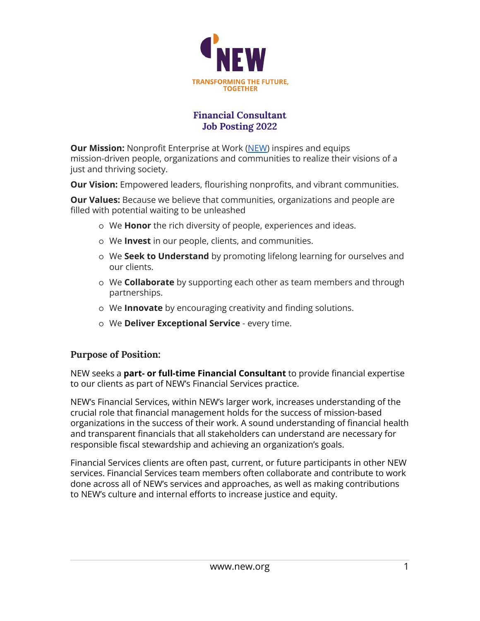

## **Financial Consultant Job Posting 2022**

**Our Mission:** Nonprofit Enterprise at Work [\(NEW\)](http://www.new.org) inspires and equips mission-driven people, organizations and communities to realize their visions of a just and thriving society.

**Our Vision:** Empowered leaders, flourishing nonprofits, and vibrant communities.

**Our Values:** Because we believe that communities, organizations and people are filled with potential waiting to be unleashed

- o We **Honor** the rich diversity of people, experiences and ideas.
- o We **Invest** in our people, clients, and communities.
- o We **Seek to Understand** by promoting lifelong learning for ourselves and our clients.
- o We **Collaborate** by supporting each other as team members and through partnerships.
- o We **Innovate** by encouraging creativity and finding solutions.
- o We **Deliver Exceptional Service** every time.

### **Purpose of Position:**

NEW seeks a **part- or full-time Financial Consultant** to provide financial expertise to our clients as part of NEW's Financial Services practice.

NEW's Financial Services, within NEW's larger work, increases understanding of the crucial role that financial management holds for the success of mission-based organizations in the success of their work. A sound understanding of financial health and transparent financials that all stakeholders can understand are necessary for responsible fiscal stewardship and achieving an organization's goals.

Financial Services clients are often past, current, or future participants in other NEW services. Financial Services team members often collaborate and contribute to work done across all of NEW's services and approaches, as well as making contributions to NEW's culture and internal efforts to increase justice and equity.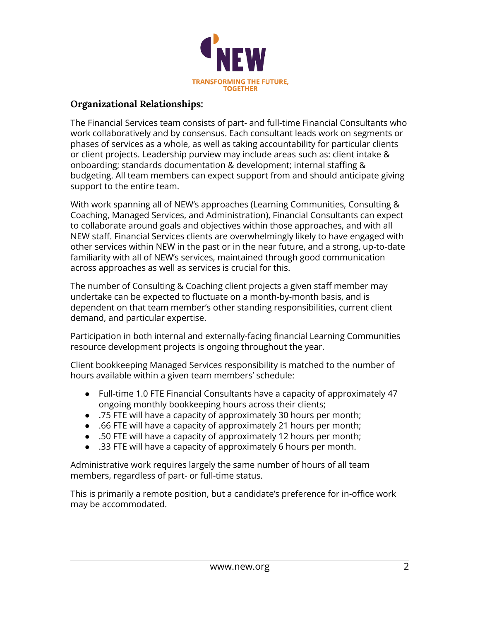

### **Organizational Relationships:**

The Financial Services team consists of part- and full-time Financial Consultants who work collaboratively and by consensus. Each consultant leads work on segments or phases of services as a whole, as well as taking accountability for particular clients or client projects. Leadership purview may include areas such as: client intake & onboarding; standards documentation & development; internal staffing & budgeting. All team members can expect support from and should anticipate giving support to the entire team.

With work spanning all of NEW's approaches (Learning Communities, Consulting & Coaching, Managed Services, and Administration), Financial Consultants can expect to collaborate around goals and objectives within those approaches, and with all NEW staff. Financial Services clients are overwhelmingly likely to have engaged with other services within NEW in the past or in the near future, and a strong, up-to-date familiarity with all of NEW's services, maintained through good communication across approaches as well as services is crucial for this.

The number of Consulting & Coaching client projects a given staff member may undertake can be expected to fluctuate on a month-by-month basis, and is dependent on that team member's other standing responsibilities, current client demand, and particular expertise.

Participation in both internal and externally-facing financial Learning Communities resource development projects is ongoing throughout the year.

Client bookkeeping Managed Services responsibility is matched to the number of hours available within a given team members' schedule:

- Full-time 1.0 FTE Financial Consultants have a capacity of approximately 47 ongoing monthly bookkeeping hours across their clients;
- .75 FTE will have a capacity of approximately 30 hours per month;
- .66 FTE will have a capacity of approximately 21 hours per month;
- .50 FTE will have a capacity of approximately 12 hours per month;
- .33 FTE will have a capacity of approximately 6 hours per month.

Administrative work requires largely the same number of hours of all team members, regardless of part- or full-time status.

This is primarily a remote position, but a candidate's preference for in-office work may be accommodated.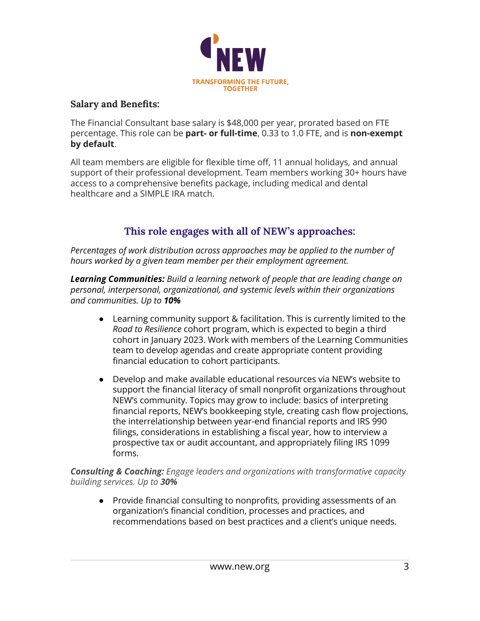

#### **Salary and Benefits:**

The Financial Consultant base salary is \$48,000 per year, prorated based on FTE percentage. This role can be **part- or full-time**, 0.33 to 1.0 FTE, and is **non-exempt by default**.

All team members are eligible for flexible time off, 11 annual holidays, and annual support of their professional development. Team members working 30+ hours have access to a comprehensive benefits package, including medical and dental healthcare and a SIMPLE IRA match.

# **This role engages with all of NEW's approaches:**

*Percentages of work distribution across approaches may be applied to the number of hours worked by a given team member per their employment agreement.*

*Learning Communities: Build a learning network of people that are leading change on personal, interpersonal, organizational, and systemic levels within their organizations and communities. Up to 10%*

- Learning community support & facilitation. This is currently limited to the *Road to Resilience* cohort program, which is expected to begin a third cohort in January 2023. Work with members of the Learning Communities team to develop agendas and create appropriate content providing financial education to cohort participants.
- Develop and make available educational resources via NEW's website to support the financial literacy of small nonprofit organizations throughout NEW's community. Topics may grow to include: basics of interpreting financial reports, NEW's bookkeeping style, creating cash flow projections, the interrelationship between year-end financial reports and IRS 990 filings, considerations in establishing a fiscal year, how to interview a prospective tax or audit accountant, and appropriately filing IRS 1099 forms.

*Consulting & Coaching: Engage leaders and organizations with transformative capacity building services. Up to 30%*

● Provide financial consulting to nonprofits, providing assessments of an organization's financial condition, processes and practices, and recommendations based on best practices and a client's unique needs.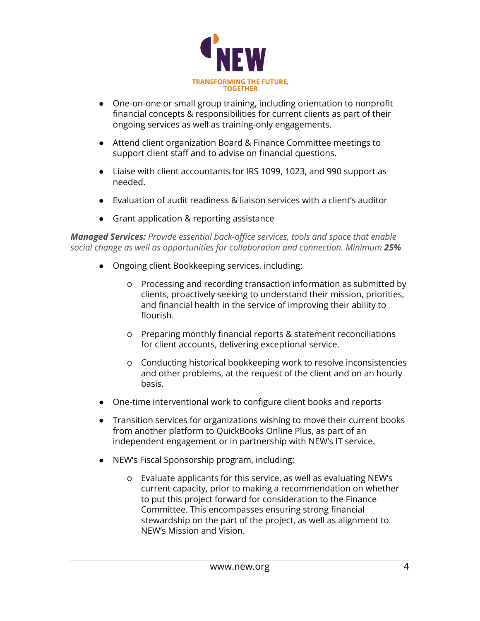

- One-on-one or small group training, including orientation to nonprofit financial concepts & responsibilities for current clients as part of their ongoing services as well as training-only engagements.
- Attend client organization Board & Finance Committee meetings to support client staff and to advise on financial questions.
- Liaise with client accountants for IRS 1099, 1023, and 990 support as needed.
- Evaluation of audit readiness & liaison services with a client's auditor
- Grant application & reporting assistance

*Managed Services: Provide essential back-office services, tools and space that enable social change as well as opportunities for collaboration and connection. Minimum 25%*

- Ongoing client Bookkeeping services, including:
	- o Processing and recording transaction information as submitted by clients, proactively seeking to understand their mission, priorities, and financial health in the service of improving their ability to flourish.
	- o Preparing monthly financial reports & statement reconciliations for client accounts, delivering exceptional service.
	- o Conducting historical bookkeeping work to resolve inconsistencies and other problems, at the request of the client and on an hourly basis.
- One-time interventional work to configure client books and reports
- Transition services for organizations wishing to move their current books from another platform to QuickBooks Online Plus, as part of an independent engagement or in partnership with NEW's IT service.
- NEW's Fiscal Sponsorship program, including:
	- o Evaluate applicants for this service, as well as evaluating NEW's current capacity, prior to making a recommendation on whether to put this project forward for consideration to the Finance Committee. This encompasses ensuring strong financial stewardship on the part of the project, as well as alignment to NEW's Mission and Vision.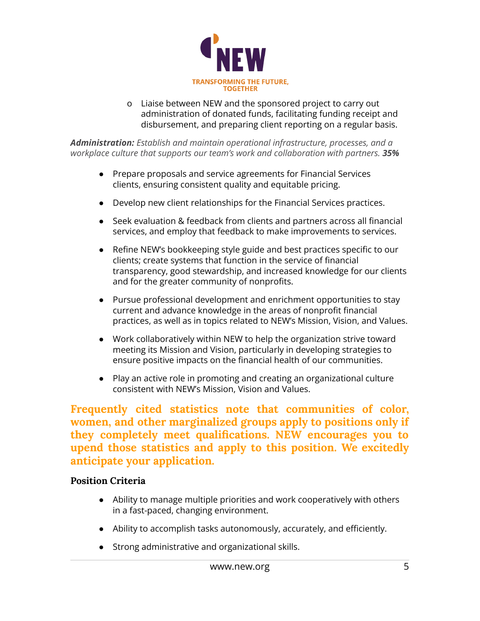

o Liaise between NEW and the sponsored project to carry out administration of donated funds, facilitating funding receipt and disbursement, and preparing client reporting on a regular basis.

*Administration: Establish and maintain operational infrastructure, processes, and a workplace culture that supports our team's work and collaboration with partners. 35%*

- Prepare proposals and service agreements for Financial Services clients, ensuring consistent quality and equitable pricing.
- Develop new client relationships for the Financial Services practices.
- Seek evaluation & feedback from clients and partners across all financial services, and employ that feedback to make improvements to services.
- Refine NEW's bookkeeping style guide and best practices specific to our clients; create systems that function in the service of financial transparency, good stewardship, and increased knowledge for our clients and for the greater community of nonprofits.
- Pursue professional development and enrichment opportunities to stay current and advance knowledge in the areas of nonprofit financial practices, as well as in topics related to NEW's Mission, Vision, and Values.
- Work collaboratively within NEW to help the organization strive toward meeting its Mission and Vision, particularly in developing strategies to ensure positive impacts on the financial health of our communities.
- Play an active role in promoting and creating an organizational culture consistent with NEW's Mission, Vision and Values.

**Frequently cited statistics note that communities of color, women, and other marginalized groups apply to positions only if they completely meet qualifications. NEW encourages you to upend those statistics and apply to this position. We excitedly anticipate your application.**

### **Position Criteria**

- Ability to manage multiple priorities and work cooperatively with others in a fast-paced, changing environment.
- Ability to accomplish tasks autonomously, accurately, and efficiently.
- Strong administrative and organizational skills.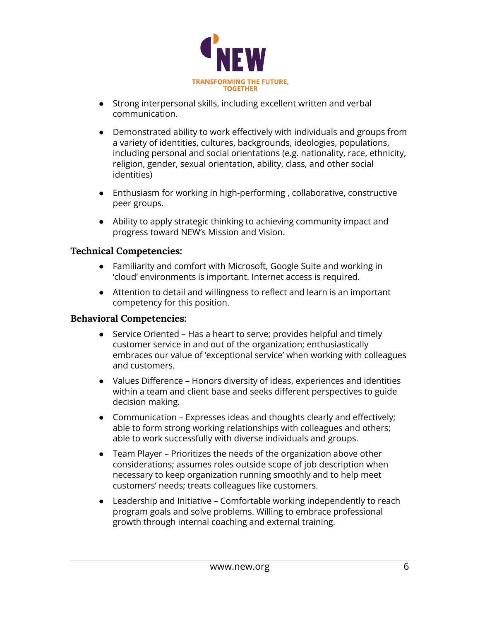

- Strong interpersonal skills, including excellent written and verbal communication.
- Demonstrated ability to work effectively with individuals and groups from a variety of identities, cultures, backgrounds, ideologies, populations, including personal and social orientations (e.g. nationality, race, ethnicity, religion, gender, sexual orientation, ability, class, and other social identities)
- Enthusiasm for working in high-performing , collaborative, constructive peer groups.
- Ability to apply strategic thinking to achieving community impact and progress toward NEW's Mission and Vision.

### **Technical Competencies:**

- Familiarity and comfort with Microsoft, Google Suite and working in 'cloud' environments is important. Internet access is required.
- Attention to detail and willingness to reflect and learn is an important competency for this position.

### **Behavioral Competencies:**

- Service Oriented Has a heart to serve; provides helpful and timely customer service in and out of the organization; enthusiastically embraces our value of 'exceptional service' when working with colleagues and customers.
- Values Difference Honors diversity of ideas, experiences and identities within a team and client base and seeks different perspectives to guide decision making.
- Communication Expresses ideas and thoughts clearly and effectively; able to form strong working relationships with colleagues and others; able to work successfully with diverse individuals and groups.
- Team Player Prioritizes the needs of the organization above other considerations; assumes roles outside scope of job description when necessary to keep organization running smoothly and to help meet customers' needs; treats colleagues like customers.
- Leadership and Initiative Comfortable working independently to reach program goals and solve problems. Willing to embrace professional growth through internal coaching and external training.